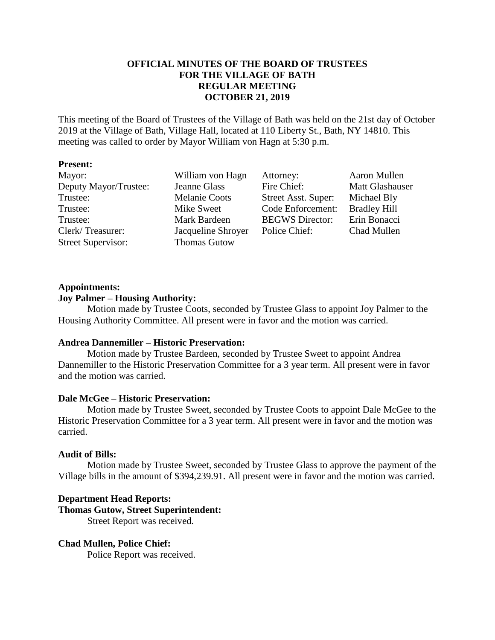# **OFFICIAL MINUTES OF THE BOARD OF TRUSTEES FOR THE VILLAGE OF BATH REGULAR MEETING OCTOBER 21, 2019**

This meeting of the Board of Trustees of the Village of Bath was held on the 21st day of October 2019 at the Village of Bath, Village Hall, located at 110 Liberty St., Bath, NY 14810. This meeting was called to order by Mayor William von Hagn at 5:30 p.m.

## **Present:**

| Mayor:                    | William von Hagn     | Attorney:              | Aaron Mullen        |
|---------------------------|----------------------|------------------------|---------------------|
| Deputy Mayor/Trustee:     | <b>Jeanne Glass</b>  | Fire Chief:            | Matt Glashauser     |
| Trustee:                  | <b>Melanie Coots</b> | Street Asst. Super:    | Michael Bly         |
| Trustee:                  | Mike Sweet           | Code Enforcement:      | <b>Bradley Hill</b> |
| Trustee:                  | Mark Bardeen         | <b>BEGWS</b> Director: | Erin Bonacci        |
| Clerk/Treasurer:          | Jacqueline Shroyer   | Police Chief:          | Chad Mullen         |
| <b>Street Supervisor:</b> | <b>Thomas Gutow</b>  |                        |                     |

## **Appointments:**

## **Joy Palmer – Housing Authority:**

Motion made by Trustee Coots, seconded by Trustee Glass to appoint Joy Palmer to the Housing Authority Committee. All present were in favor and the motion was carried.

# **Andrea Dannemiller – Historic Preservation:**

Motion made by Trustee Bardeen, seconded by Trustee Sweet to appoint Andrea Dannemiller to the Historic Preservation Committee for a 3 year term. All present were in favor and the motion was carried.

# **Dale McGee – Historic Preservation:**

Motion made by Trustee Sweet, seconded by Trustee Coots to appoint Dale McGee to the Historic Preservation Committee for a 3 year term. All present were in favor and the motion was carried.

# **Audit of Bills:**

Motion made by Trustee Sweet, seconded by Trustee Glass to approve the payment of the Village bills in the amount of \$394,239.91. All present were in favor and the motion was carried.

# **Department Head Reports:**

**Thomas Gutow, Street Superintendent:**

Street Report was received.

# **Chad Mullen, Police Chief:**

Police Report was received.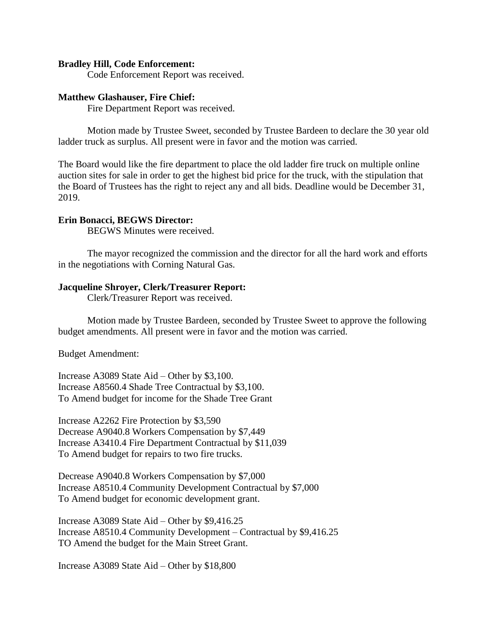#### **Bradley Hill, Code Enforcement:**

Code Enforcement Report was received.

#### **Matthew Glashauser, Fire Chief:**

Fire Department Report was received.

Motion made by Trustee Sweet, seconded by Trustee Bardeen to declare the 30 year old ladder truck as surplus. All present were in favor and the motion was carried.

The Board would like the fire department to place the old ladder fire truck on multiple online auction sites for sale in order to get the highest bid price for the truck, with the stipulation that the Board of Trustees has the right to reject any and all bids. Deadline would be December 31, 2019.

#### **Erin Bonacci, BEGWS Director:**

BEGWS Minutes were received.

The mayor recognized the commission and the director for all the hard work and efforts in the negotiations with Corning Natural Gas.

#### **Jacqueline Shroyer, Clerk/Treasurer Report:**

Clerk/Treasurer Report was received.

Motion made by Trustee Bardeen, seconded by Trustee Sweet to approve the following budget amendments. All present were in favor and the motion was carried.

Budget Amendment:

Increase A3089 State Aid – Other by \$3,100. Increase A8560.4 Shade Tree Contractual by \$3,100. To Amend budget for income for the Shade Tree Grant

Increase A2262 Fire Protection by \$3,590 Decrease A9040.8 Workers Compensation by \$7,449 Increase A3410.4 Fire Department Contractual by \$11,039 To Amend budget for repairs to two fire trucks.

Decrease A9040.8 Workers Compensation by \$7,000 Increase A8510.4 Community Development Contractual by \$7,000 To Amend budget for economic development grant.

Increase A3089 State Aid – Other by \$9,416.25 Increase A8510.4 Community Development – Contractual by \$9,416.25 TO Amend the budget for the Main Street Grant.

Increase A3089 State Aid – Other by \$18,800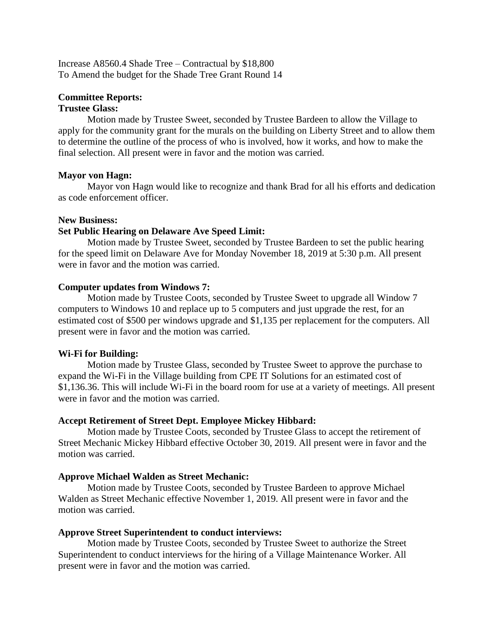Increase A8560.4 Shade Tree – Contractual by \$18,800 To Amend the budget for the Shade Tree Grant Round 14

#### **Committee Reports: Trustee Glass:**

Motion made by Trustee Sweet, seconded by Trustee Bardeen to allow the Village to apply for the community grant for the murals on the building on Liberty Street and to allow them to determine the outline of the process of who is involved, how it works, and how to make the final selection. All present were in favor and the motion was carried.

## **Mayor von Hagn:**

Mayor von Hagn would like to recognize and thank Brad for all his efforts and dedication as code enforcement officer.

## **New Business:**

# **Set Public Hearing on Delaware Ave Speed Limit:**

Motion made by Trustee Sweet, seconded by Trustee Bardeen to set the public hearing for the speed limit on Delaware Ave for Monday November 18, 2019 at 5:30 p.m. All present were in favor and the motion was carried.

## **Computer updates from Windows 7:**

Motion made by Trustee Coots, seconded by Trustee Sweet to upgrade all Window 7 computers to Windows 10 and replace up to 5 computers and just upgrade the rest, for an estimated cost of \$500 per windows upgrade and \$1,135 per replacement for the computers. All present were in favor and the motion was carried.

# **Wi-Fi for Building:**

Motion made by Trustee Glass, seconded by Trustee Sweet to approve the purchase to expand the Wi-Fi in the Village building from CPE IT Solutions for an estimated cost of \$1,136.36. This will include Wi-Fi in the board room for use at a variety of meetings. All present were in favor and the motion was carried.

### **Accept Retirement of Street Dept. Employee Mickey Hibbard:**

Motion made by Trustee Coots, seconded by Trustee Glass to accept the retirement of Street Mechanic Mickey Hibbard effective October 30, 2019. All present were in favor and the motion was carried.

# **Approve Michael Walden as Street Mechanic:**

Motion made by Trustee Coots, seconded by Trustee Bardeen to approve Michael Walden as Street Mechanic effective November 1, 2019. All present were in favor and the motion was carried.

### **Approve Street Superintendent to conduct interviews:**

Motion made by Trustee Coots, seconded by Trustee Sweet to authorize the Street Superintendent to conduct interviews for the hiring of a Village Maintenance Worker. All present were in favor and the motion was carried.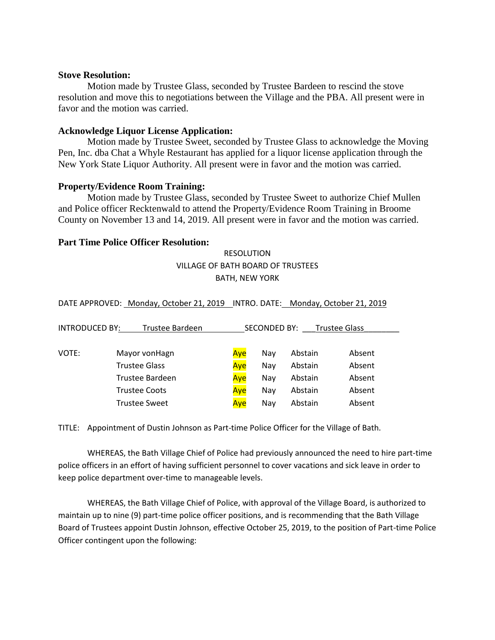#### **Stove Resolution:**

Motion made by Trustee Glass, seconded by Trustee Bardeen to rescind the stove resolution and move this to negotiations between the Village and the PBA. All present were in favor and the motion was carried.

### **Acknowledge Liquor License Application:**

Motion made by Trustee Sweet, seconded by Trustee Glass to acknowledge the Moving Pen, Inc. dba Chat a Whyle Restaurant has applied for a liquor license application through the New York State Liquor Authority. All present were in favor and the motion was carried.

### **Property/Evidence Room Training:**

Motion made by Trustee Glass, seconded by Trustee Sweet to authorize Chief Mullen and Police officer Recktenwald to attend the Property/Evidence Room Training in Broome County on November 13 and 14, 2019. All present were in favor and the motion was carried.

## **Part Time Police Officer Resolution:**

# RESOLUTION VILLAGE OF BATH BOARD OF TRUSTEES BATH, NEW YORK

DATE APPROVED: Monday, October 21, 2019 INTRO. DATE: Monday, October 21, 2019

| <b>INTRODUCED BY:</b> | Trustee Bardeen      | <b>SECONDED BY:</b><br><b>Trustee Glass</b> |     |         |        |
|-----------------------|----------------------|---------------------------------------------|-----|---------|--------|
| VOTE:                 | Mayor von Hagn       | Aye                                         | Nav | Abstain | Absent |
|                       | <b>Trustee Glass</b> | Aye                                         | Nav | Abstain | Absent |
|                       | Trustee Bardeen      | Ave                                         | Nav | Abstain | Absent |
|                       | <b>Trustee Coots</b> | Aye                                         | Nav | Abstain | Absent |
|                       | <b>Trustee Sweet</b> | Aye                                         | Nav | Abstain | Absent |

TITLE: Appointment of Dustin Johnson as Part-time Police Officer for the Village of Bath.

WHEREAS, the Bath Village Chief of Police had previously announced the need to hire part-time police officers in an effort of having sufficient personnel to cover vacations and sick leave in order to keep police department over-time to manageable levels.

WHEREAS, the Bath Village Chief of Police, with approval of the Village Board, is authorized to maintain up to nine (9) part-time police officer positions, and is recommending that the Bath Village Board of Trustees appoint Dustin Johnson, effective October 25, 2019, to the position of Part-time Police Officer contingent upon the following: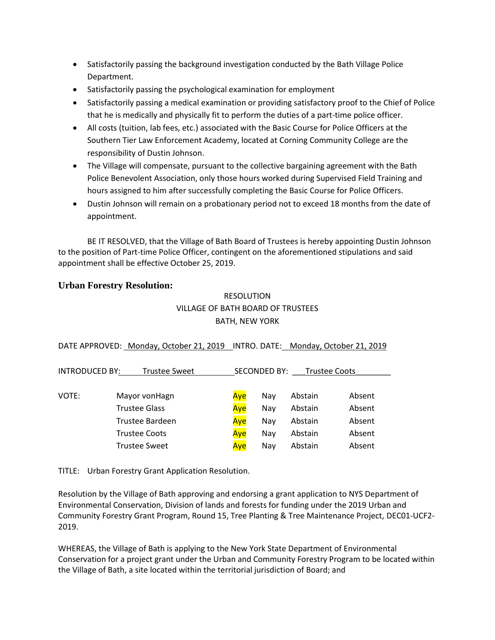- Satisfactorily passing the background investigation conducted by the Bath Village Police Department.
- Satisfactorily passing the psychological examination for employment
- Satisfactorily passing a medical examination or providing satisfactory proof to the Chief of Police that he is medically and physically fit to perform the duties of a part-time police officer.
- All costs (tuition, lab fees, etc.) associated with the Basic Course for Police Officers at the Southern Tier Law Enforcement Academy, located at Corning Community College are the responsibility of Dustin Johnson.
- The Village will compensate, pursuant to the collective bargaining agreement with the Bath Police Benevolent Association, only those hours worked during Supervised Field Training and hours assigned to him after successfully completing the Basic Course for Police Officers.
- Dustin Johnson will remain on a probationary period not to exceed 18 months from the date of appointment.

BE IT RESOLVED, that the Village of Bath Board of Trustees is hereby appointing Dustin Johnson to the position of Part-time Police Officer, contingent on the aforementioned stipulations and said appointment shall be effective October 25, 2019.

# **Urban Forestry Resolution:**

# RESOLUTION VILLAGE OF BATH BOARD OF TRUSTEES BATH, NEW YORK

|  | DATE APPROVED: Monday, October 21, 2019 INTRO. DATE: Monday, October 21, 2019 |
|--|-------------------------------------------------------------------------------|
|  |                                                                               |

| INTRODUCED BY:<br><b>Trustee Sweet</b> |                      | SECONDED BY:<br><b>Trustee Coots</b> |     |         |        |
|----------------------------------------|----------------------|--------------------------------------|-----|---------|--------|
|                                        |                      |                                      |     |         |        |
| VOTE:                                  | Mayor vonHagn        | Ave                                  | Nav | Abstain | Absent |
|                                        | <b>Trustee Glass</b> | Ave                                  | Nay | Abstain | Absent |
|                                        | Trustee Bardeen      | Aye                                  | Nav | Abstain | Absent |
|                                        | <b>Trustee Coots</b> | Ave                                  | Nav | Abstain | Absent |
|                                        | <b>Trustee Sweet</b> | Ave                                  | Nav | Abstain | Absent |

TITLE: Urban Forestry Grant Application Resolution.

Resolution by the Village of Bath approving and endorsing a grant application to NYS Department of Environmental Conservation, Division of lands and forests for funding under the 2019 Urban and Community Forestry Grant Program, Round 15, Tree Planting & Tree Maintenance Project, DEC01-UCF2- 2019.

WHEREAS, the Village of Bath is applying to the New York State Department of Environmental Conservation for a project grant under the Urban and Community Forestry Program to be located within the Village of Bath, a site located within the territorial jurisdiction of Board; and